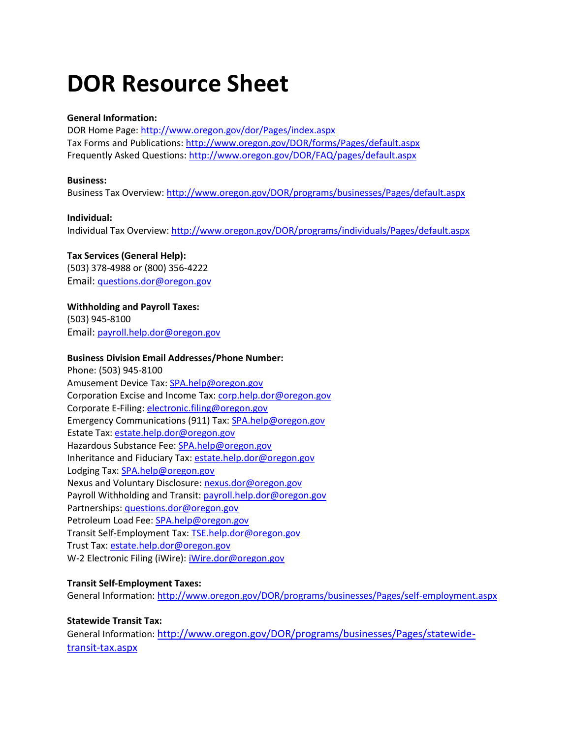# **DOR Resource Sheet**

## **General Information:**

DOR Home Page:<http://www.oregon.gov/dor/Pages/index.aspx> Tax Forms and Publications:<http://www.oregon.gov/DOR/forms/Pages/default.aspx> Frequently Asked Questions[: http://www.oregon.gov/DOR/FAQ/pages/default.aspx](http://www.oregon.gov/DOR/FAQ/pages/default.aspx)

## **Business:**

Business Tax Overview[: http://www.oregon.gov/DOR/programs/businesses/Pages/default.aspx](http://www.oregon.gov/DOR/programs/businesses/Pages/default.aspx)

## **Individual:**

Individual Tax Overview:<http://www.oregon.gov/DOR/programs/individuals/Pages/default.aspx>

# **Tax Services (General Help):**

(503) 378-4988 or (800) 356-4222 Email: [questions.dor@oregon.gov](mailto:questions.dor@oregon.gov) 

# **Withholding and Payroll Taxes:**

(503) 945-8100 Email: [payroll.help.dor@oregon.gov](mailto:payroll.help.dor@oregon.gov)

# **Business Division Email Addresses/Phone Number:**

Phone: (503) 945-8100 Amusement Device Tax: [SPA.help@oregon.gov](mailto:SPA.help@oregon.gov) Corporation Excise and Income Tax: [corp.help.dor@oregon.gov](mailto:corp.help.dor@oregon.gov) Corporate E-Filing[: electronic.filing@oregon.gov](mailto:electronic.filing@oregon.gov) Emergency Communications (911) Tax[: SPA.help@oregon.gov](mailto:SPA.help@oregon.gov) Estate Tax: [estate.help.dor@oregon.gov](mailto:estate.help.dor@oregon.gov) Hazardous Substance Fee: [SPA.help@oregon.gov](mailto:SPA.help@oregon.gov) Inheritance and Fiduciary Tax[: estate.help.dor@oregon.gov](mailto:estate.help.dor@oregon.gov) Lodging Tax: [SPA.help@oregon.gov](mailto:SPA.help@oregon.gov) Nexus and Voluntary Disclosure: [nexus.dor@oregon.gov](mailto:nexus.dor@oregon.gov) Payroll Withholding and Transit: [payroll.help.dor@oregon.gov](mailto:payroll.help.dor@oregon.gov) Partnerships[: questions.dor@oregon.gov](mailto:questions.dor@oregon.gov) Petroleum Load Fee: [SPA.help@oregon.gov](mailto:SPA.help@oregon.gov) Transit Self-Employment Tax: [TSE.help.dor@oregon.gov](mailto:TSE.help.dor@oregon.gov) Trust Tax: [estate.help.dor@oregon.gov](mailto:estate.help.dor@oregon.gov) W-2 Electronic Filing (iWire): [iWire.dor@oregon.gov](mailto:iWire.dor@oregon.gov)

# **Transit Self-Employment Taxes:**

General Information[: http://www.oregon.gov/DOR/programs/businesses/Pages/self-employment.aspx](http://www.oregon.gov/DOR/programs/businesses/Pages/self-employment.aspx)

# **Statewide Transit Tax:**

General Information: [http://www.oregon.gov/DOR/programs/businesses/Pages/statewide](http://www.oregon.gov/DOR/programs/businesses/Pages/statewide-transit-tax.aspx)[transit-tax.aspx](http://www.oregon.gov/DOR/programs/businesses/Pages/statewide-transit-tax.aspx)